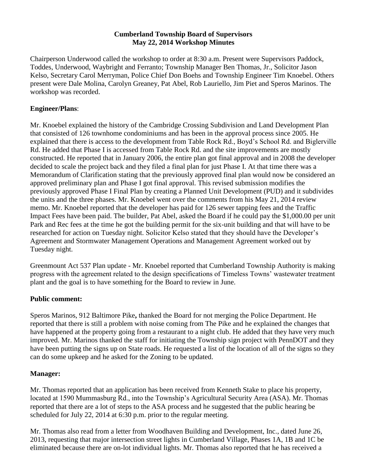#### **Cumberland Township Board of Supervisors May 22, 2014 Workshop Minutes**

Chairperson Underwood called the workshop to order at 8:30 a.m. Present were Supervisors Paddock, Toddes, Underwood, Waybright and Ferranto; Township Manager Ben Thomas, Jr., Solicitor Jason Kelso, Secretary Carol Merryman, Police Chief Don Boehs and Township Engineer Tim Knoebel. Others present were Dale Molina, Carolyn Greaney, Pat Abel, Rob Lauriello, Jim Piet and Speros Marinos. The workshop was recorded.

#### **Engineer/Plans**:

Mr. Knoebel explained the history of the Cambridge Crossing Subdivision and Land Development Plan that consisted of 126 townhome condominiums and has been in the approval process since 2005. He explained that there is access to the development from Table Rock Rd., Boyd's School Rd. and Biglerville Rd. He added that Phase I is accessed from Table Rock Rd. and the site improvements are mostly constructed. He reported that in January 2006, the entire plan got final approval and in 2008 the developer decided to scale the project back and they filed a final plan for just Phase I. At that time there was a Memorandum of Clarification stating that the previously approved final plan would now be considered an approved preliminary plan and Phase I got final approval. This revised submission modifies the previously approved Phase I Final Plan by creating a Planned Unit Development (PUD) and it subdivides the units and the three phases. Mr. Knoebel went over the comments from his May 21, 2014 review memo. Mr. Knoebel reported that the developer has paid for 126 sewer tapping fees and the Traffic Impact Fees have been paid. The builder, Pat Abel, asked the Board if he could pay the \$1,000.00 per unit Park and Rec fees at the time he got the building permit for the six-unit building and that will have to be researched for action on Tuesday night. Solicitor Kelso stated that they should have the Developer's Agreement and Stormwater Management Operations and Management Agreement worked out by Tuesday night.

Greenmount Act 537 Plan update - Mr. Knoebel reported that Cumberland Township Authority is making progress with the agreement related to the design specifications of Timeless Towns' wastewater treatment plant and the goal is to have something for the Board to review in June.

#### **Public comment:**

Speros Marinos, 912 Baltimore Pike**,** thanked the Board for not merging the Police Department. He reported that there is still a problem with noise coming from The Pike and he explained the changes that have happened at the property going from a restaurant to a night club. He added that they have very much improved. Mr. Marinos thanked the staff for initiating the Township sign project with PennDOT and they have been putting the signs up on State roads. He requested a list of the location of all of the signs so they can do some upkeep and he asked for the Zoning to be updated.

# **Manager:**

Mr. Thomas reported that an application has been received from Kenneth Stake to place his property, located at 1590 Mummasburg Rd., into the Township's Agricultural Security Area (ASA). Mr. Thomas reported that there are a lot of steps to the ASA process and he suggested that the public hearing be scheduled for July 22, 2014 at 6:30 p.m. prior to the regular meeting.

Mr. Thomas also read from a letter from Woodhaven Building and Development, Inc., dated June 26, 2013, requesting that major intersection street lights in Cumberland Village, Phases 1A, 1B and 1C be eliminated because there are on-lot individual lights. Mr. Thomas also reported that he has received a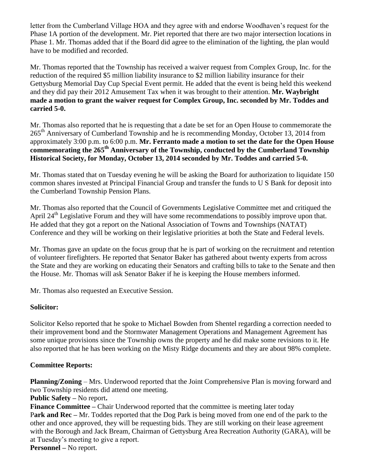letter from the Cumberland Village HOA and they agree with and endorse Woodhaven's request for the Phase 1A portion of the development. Mr. Piet reported that there are two major intersection locations in Phase 1. Mr. Thomas added that if the Board did agree to the elimination of the lighting, the plan would have to be modified and recorded.

Mr. Thomas reported that the Township has received a waiver request from Complex Group, Inc. for the reduction of the required \$5 million liability insurance to \$2 million liability insurance for their Gettysburg Memorial Day Cup Special Event permit. He added that the event is being held this weekend and they did pay their 2012 Amusement Tax when it was brought to their attention. **Mr. Waybright made a motion to grant the waiver request for Complex Group, Inc. seconded by Mr. Toddes and carried 5-0.** 

Mr. Thomas also reported that he is requesting that a date be set for an Open House to commemorate the 265<sup>th</sup> Anniversary of Cumberland Township and he is recommending Monday, October 13, 2014 from approximately 3:00 p.m. to 6:00 p.m. **Mr. Ferranto made a motion to set the date for the Open House commemorating the 265th Anniversary of the Township, conducted by the Cumberland Township Historical Society, for Monday, October 13, 2014 seconded by Mr. Toddes and carried 5-0.**

Mr. Thomas stated that on Tuesday evening he will be asking the Board for authorization to liquidate 150 common shares invested at Principal Financial Group and transfer the funds to U S Bank for deposit into the Cumberland Township Pension Plans.

Mr. Thomas also reported that the Council of Governments Legislative Committee met and critiqued the April 24<sup>th</sup> Legislative Forum and they will have some recommendations to possibly improve upon that. He added that they got a report on the National Association of Towns and Townships (NATAT) Conference and they will be working on their legislative priorities at both the State and Federal levels.

Mr. Thomas gave an update on the focus group that he is part of working on the recruitment and retention of volunteer firefighters. He reported that Senator Baker has gathered about twenty experts from across the State and they are working on educating their Senators and crafting bills to take to the Senate and then the House. Mr. Thomas will ask Senator Baker if he is keeping the House members informed.

Mr. Thomas also requested an Executive Session.

# **Solicitor:**

Solicitor Kelso reported that he spoke to Michael Bowden from Shentel regarding a correction needed to their improvement bond and the Stormwater Management Operations and Management Agreement has some unique provisions since the Township owns the property and he did make some revisions to it. He also reported that he has been working on the Misty Ridge documents and they are about 98% complete.

# **Committee Reports:**

**Planning/Zoning** – Mrs. Underwood reported that the Joint Comprehensive Plan is moving forward and two Township residents did attend one meeting.

**Public Safety –** No report**.**

**Finance Committee –** Chair Underwood reported that the committee is meeting later today P**ark and Rec –** Mr. Toddes reported that the Dog Park is being moved from one end of the park to the other and once approved, they will be requesting bids. They are still working on their lease agreement with the Borough and Jack Bream, Chairman of Gettysburg Area Recreation Authority (GARA), will be at Tuesday's meeting to give a report.

**Personnel –** No report.